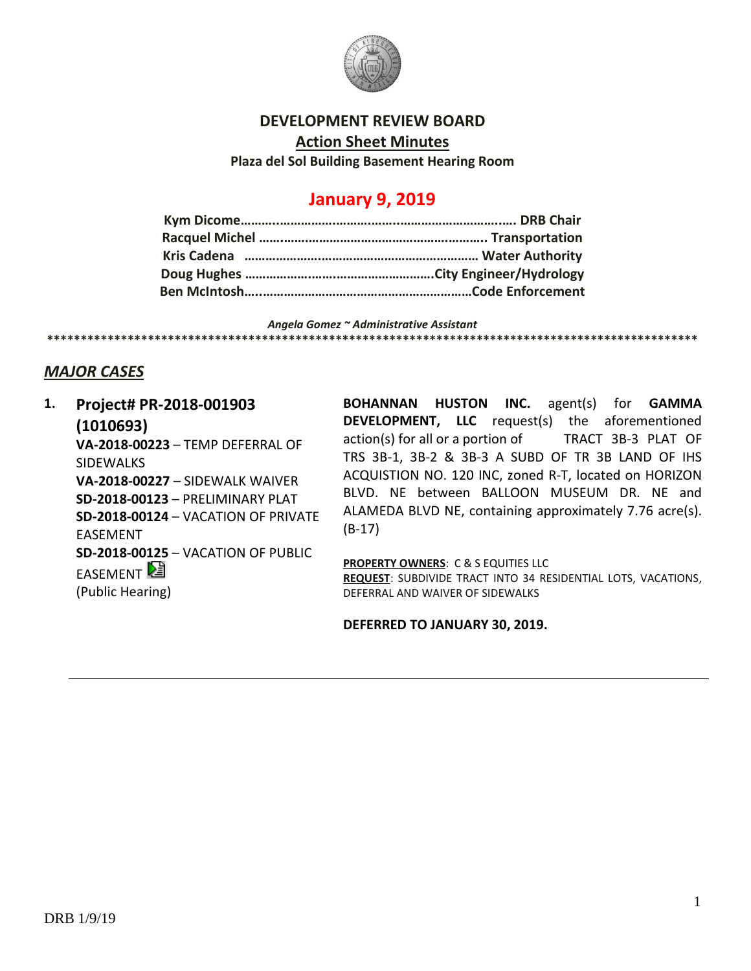

### **DEVELOPMENT REVIEW BOARD**

**Action Sheet Minutes**

**Plaza del Sol Building Basement Hearing Room**

# **January 9, 2019**

*Angela Gomez ~ Administrative Assistant* **\*\*\*\*\*\*\*\*\*\*\*\*\*\*\*\*\*\*\*\*\*\*\*\*\*\*\*\*\*\*\*\*\*\*\*\*\*\*\*\*\*\*\*\*\*\*\*\*\*\*\*\*\*\*\*\*\*\*\*\*\*\*\*\*\*\*\*\*\*\*\*\*\*\*\*\*\*\*\*\*\*\*\*\*\*\*\*\*\*\*\*\*\*\*\*\*\***

## *MAJOR CASES*

**1. Project# PR-2018-001903 (1010693) VA-2018-00223** – TEMP DEFERRAL OF **SIDEWALKS VA-2018-00227** – SIDEWALK WAIVER **SD-2018-00123** – PRELIMINARY PLAT **SD-2018-00124** – VACATION OF PRIVATE EASEMENT **SD-2018-00125** – VACATION OF PUBLIC EASEMENT (Public Hearing)

**BOHANNAN HUSTON INC.** agent(s) for **GAMMA DEVELOPMENT, LLC** request(s) the aforementioned action(s) for all or a portion of TRACT 3B-3 PLAT OF TRS 3B-1, 3B-2 & 3B-3 A SUBD OF TR 3B LAND OF IHS ACQUISTION NO. 120 INC, zoned R-T, located on HORIZON BLVD. NE between BALLOON MUSEUM DR. NE and ALAMEDA BLVD NE, containing approximately 7.76 acre(s). (B-17)

**PROPERTY OWNERS**: C & S EQUITIES LLC **REQUEST**: SUBDIVIDE TRACT INTO 34 RESIDENTIAL LOTS, VACATIONS, DEFERRAL AND WAIVER OF SIDEWALKS

**DEFERRED TO JANUARY 30, 2019.**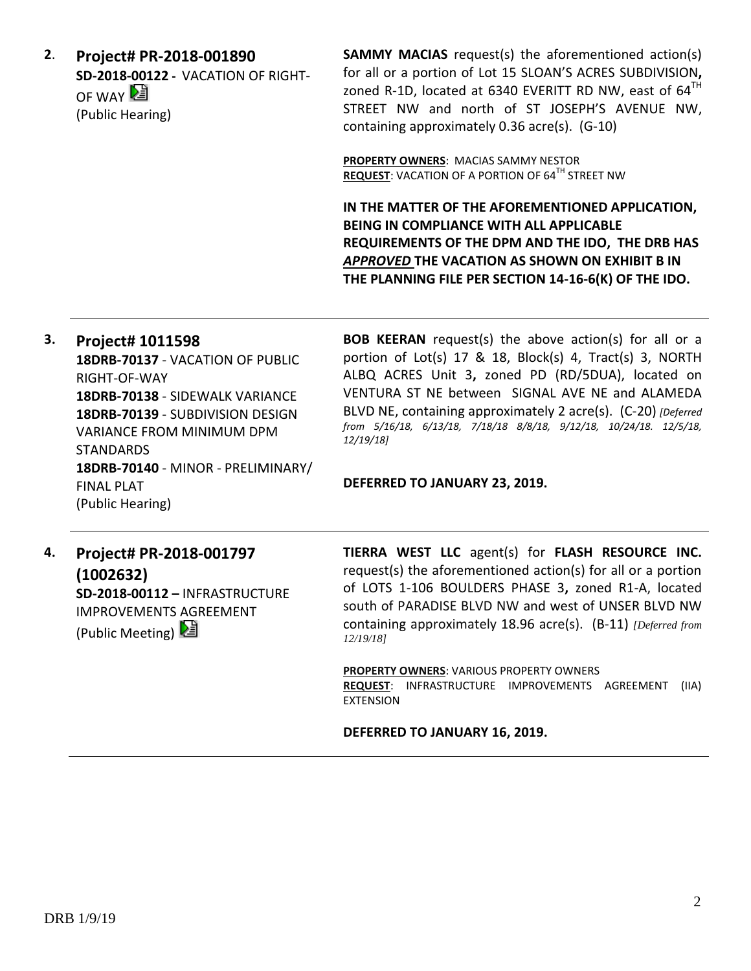**2**. **Project# PR-2018-001890 SD-2018-00122 -** VACATION OF RIGHT-OF WAY 2 (Public Hearing)

**SAMMY MACIAS** request(s) the aforementioned action(s) for all or a portion of Lot 15 SLOAN'S ACRES SUBDIVISION**,**  zoned R-1D, located at 6340 EVERITT RD NW, east of  $64<sup>TH</sup>$ STREET NW and north of ST JOSEPH'S AVENUE NW, containing approximately 0.36 acre(s). (G-10)

**PROPERTY OWNERS**: MACIAS SAMMY NESTOR **REQUEST:** VACATION OF A PORTION OF 64<sup>TH</sup> STREET NW

**IN THE MATTER OF THE AFOREMENTIONED APPLICATION, BEING IN COMPLIANCE WITH ALL APPLICABLE REQUIREMENTS OF THE DPM AND THE IDO, THE DRB HAS**  *APPROVED* **THE VACATION AS SHOWN ON EXHIBIT B IN THE PLANNING FILE PER SECTION 14-16-6(K) OF THE IDO.**

**3. Project# 1011598 18DRB-70137** - VACATION OF PUBLIC RIGHT-OF-WAY **18DRB-70138** - SIDEWALK VARIANCE **18DRB-70139** - SUBDIVISION DESIGN VARIANCE FROM MINIMUM DPM STANDARDS **18DRB-70140** - MINOR - PRELIMINARY/ FINAL PLAT (Public Hearing)

**BOB KEERAN** request(s) the above action(s) for all or a portion of Lot(s) 17 & 18, Block(s) 4, Tract(s) 3, NORTH ALBQ ACRES Unit 3**,** zoned PD (RD/5DUA), located on VENTURA ST NE between SIGNAL AVE NE and ALAMEDA BLVD NE, containing approximately 2 acre(s). (C-20) *[Deferred from 5/16/18, 6/13/18, 7/18/18 8/8/18, 9/12/18, 10/24/18. 12/5/18, 12/19/18]*

### **DEFERRED TO JANUARY 23, 2019.**

**4. Project# PR-2018-001797 (1002632) SD-2018-00112 –** INFRASTRUCTURE IMPROVEMENTS AGREEMENT (Public Meeting)

**TIERRA WEST LLC** agent(s) for **FLASH RESOURCE INC.** request(s) the aforementioned action(s) for all or a portion of LOTS 1-106 BOULDERS PHASE 3**,** zoned R1-A, located south of PARADISE BLVD NW and west of UNSER BLVD NW containing approximately 18.96 acre(s). (B-11) *[Deferred from 12/19/18]*

**PROPERTY OWNERS**: VARIOUS PROPERTY OWNERS **REQUEST**: INFRASTRUCTURE IMPROVEMENTS AGREEMENT (IIA) EXTENSION

#### **DEFERRED TO JANUARY 16, 2019.**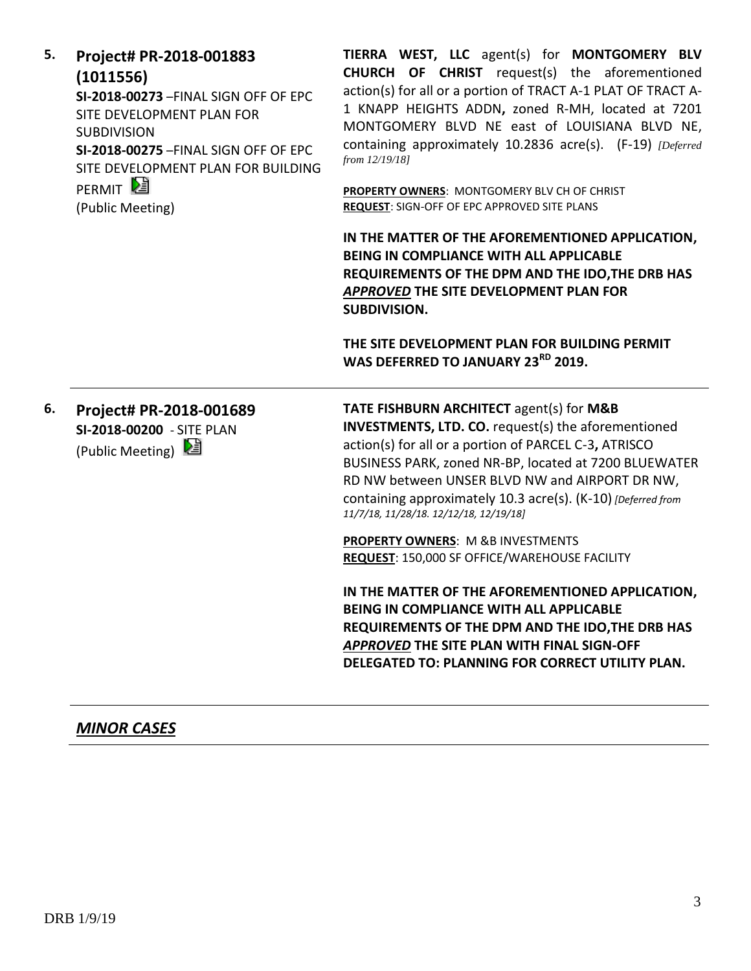| 5. | Project# PR-2018-001883<br>(1011556)<br>SI-2018-00273-FINAL SIGN OFF OF EPC<br>SITE DEVELOPMENT PLAN FOR<br><b>SUBDIVISION</b><br>SI-2018-00275-FINAL SIGN OFF OF EPC<br>SITE DEVELOPMENT PLAN FOR BUILDING<br>PERMIT <sup>E</sup><br>(Public Meeting) | TIERRA WEST, LLC agent(s) for MONTGOMERY BLV<br>CHURCH OF CHRIST request(s) the aforementioned<br>action(s) for all or a portion of TRACT A-1 PLAT OF TRACT A-<br>1 KNAPP HEIGHTS ADDN, zoned R-MH, located at 7201<br>MONTGOMERY BLVD NE east of LOUISIANA BLVD NE,<br>containing approximately 10.2836 acre(s). (F-19) [Deferred<br>from 12/19/18]<br>PROPERTY OWNERS: MONTGOMERY BLV CH OF CHRIST<br><b>REQUEST: SIGN-OFF OF EPC APPROVED SITE PLANS</b><br>IN THE MATTER OF THE AFOREMENTIONED APPLICATION, |
|----|--------------------------------------------------------------------------------------------------------------------------------------------------------------------------------------------------------------------------------------------------------|-----------------------------------------------------------------------------------------------------------------------------------------------------------------------------------------------------------------------------------------------------------------------------------------------------------------------------------------------------------------------------------------------------------------------------------------------------------------------------------------------------------------|
|    |                                                                                                                                                                                                                                                        | <b>BEING IN COMPLIANCE WITH ALL APPLICABLE</b><br>REQUIREMENTS OF THE DPM AND THE IDO, THE DRB HAS<br>APPROVED THE SITE DEVELOPMENT PLAN FOR<br>SUBDIVISION.                                                                                                                                                                                                                                                                                                                                                    |
|    |                                                                                                                                                                                                                                                        | THE SITE DEVELOPMENT PLAN FOR BUILDING PERMIT<br>WAS DEFERRED TO JANUARY 23 <sup>RD</sup> 2019.                                                                                                                                                                                                                                                                                                                                                                                                                 |
| 6. | Project# PR-2018-001689<br>SI-2018-00200 - SITE PLAN<br>(Public Meeting) 2                                                                                                                                                                             | <b>TATE FISHBURN ARCHITECT agent(s) for M&amp;B</b><br><b>INVESTMENTS, LTD. CO.</b> request(s) the aforementioned<br>action(s) for all or a portion of PARCEL C-3, ATRISCO<br>BUSINESS PARK, zoned NR-BP, located at 7200 BLUEWATER<br>RD NW between UNSER BLVD NW and AIRPORT DR NW,<br>containing approximately 10.3 acre(s). (K-10) [Deferred from<br>11/7/18, 11/28/18. 12/12/18, 12/19/18]                                                                                                                 |
|    |                                                                                                                                                                                                                                                        | <b>PROPERTY OWNERS: M &amp;B INVESTMENTS</b><br><b>REQUEST: 150,000 SF OFFICE/WAREHOUSE FACILITY</b>                                                                                                                                                                                                                                                                                                                                                                                                            |
|    |                                                                                                                                                                                                                                                        | IN THE MATTER OF THE AFOREMENTIONED APPLICATION,<br>BEING IN COMPLIANCE WITH ALL APPLICABLE<br>REQUIREMENTS OF THE DPM AND THE IDO, THE DRB HAS<br>APPROVED THE SITE PLAN WITH FINAL SIGN-OFF<br>DELEGATED TO: PLANNING FOR CORRECT UTILITY PLAN.                                                                                                                                                                                                                                                               |

# *MINOR CASES*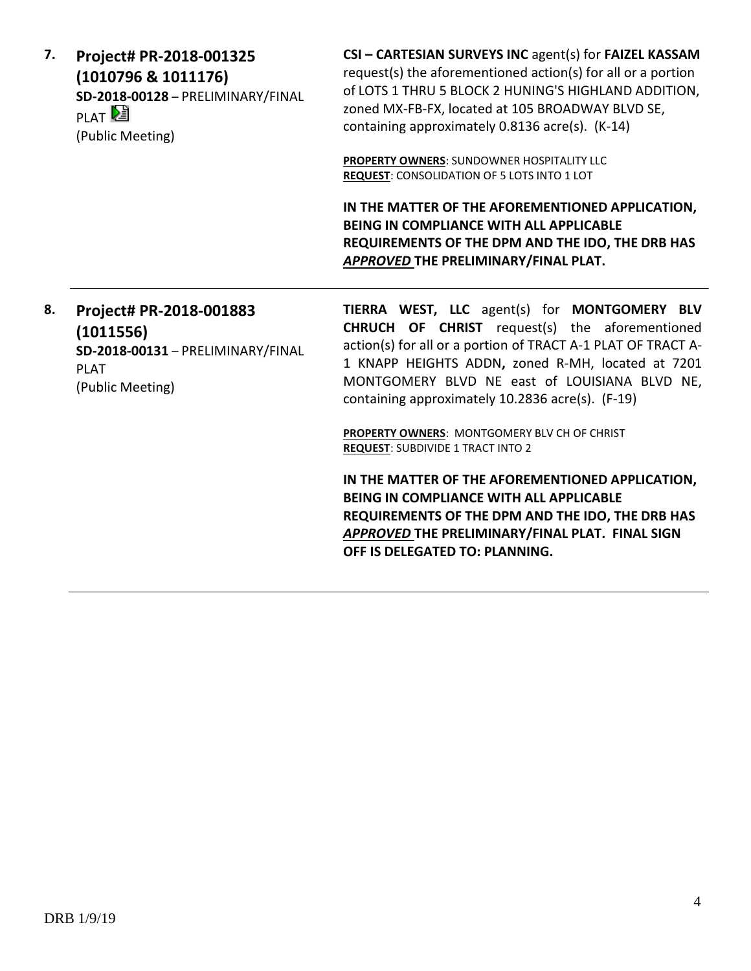| 7. | Project# PR-2018-001325<br>(1010796 & 1011176)<br>SD-2018-00128 - PRELIMINARY/FINAL<br>PLAT <sup>D</sup><br>(Public Meeting) | CSI - CARTESIAN SURVEYS INC agent(s) for FAIZEL KASSAM<br>request(s) the aforementioned action(s) for all or a portion<br>of LOTS 1 THRU 5 BLOCK 2 HUNING'S HIGHLAND ADDITION,<br>zoned MX-FB-FX, located at 105 BROADWAY BLVD SE,<br>containing approximately 0.8136 acre(s). (K-14) |
|----|------------------------------------------------------------------------------------------------------------------------------|---------------------------------------------------------------------------------------------------------------------------------------------------------------------------------------------------------------------------------------------------------------------------------------|
|    |                                                                                                                              | <b>PROPERTY OWNERS: SUNDOWNER HOSPITALITY LLC</b><br><b>REQUEST: CONSOLIDATION OF 5 LOTS INTO 1 LOT</b>                                                                                                                                                                               |
|    |                                                                                                                              | IN THE MATTER OF THE AFOREMENTIONED APPLICATION,<br><b>BEING IN COMPLIANCE WITH ALL APPLICABLE</b><br>REQUIREMENTS OF THE DPM AND THE IDO, THE DRB HAS<br>APPROVED THE PRELIMINARY/FINAL PLAT.                                                                                        |
| 8. | Project# PR-2018-001883<br>(1011556)<br>SD-2018-00131 - PRELIMINARY/FINAL<br>DI AT.                                          | TIERRA WEST, LLC agent(s) for MONTGOMERY BLV<br><b>CHRUCH OF CHRIST</b> request(s) the aforementioned<br>action(s) for all or a portion of TRACT A-1 PLAT OF TRACT A-<br>1 KNAPP HEIGHTS ADDN, zoned R-MH, located at 7201                                                            |

PLAT (Public Meeting)

> **PROPERTY OWNERS**: MONTGOMERY BLV CH OF CHRIST **REQUEST**: SUBDIVIDE 1 TRACT INTO 2

containing approximately 10.2836 acre(s). (F-19)

**IN THE MATTER OF THE AFOREMENTIONED APPLICATION, BEING IN COMPLIANCE WITH ALL APPLICABLE REQUIREMENTS OF THE DPM AND THE IDO, THE DRB HAS**  *APPROVED* **THE PRELIMINARY/FINAL PLAT. FINAL SIGN OFF IS DELEGATED TO: PLANNING.**

MONTGOMERY BLVD NE east of LOUISIANA BLVD NE,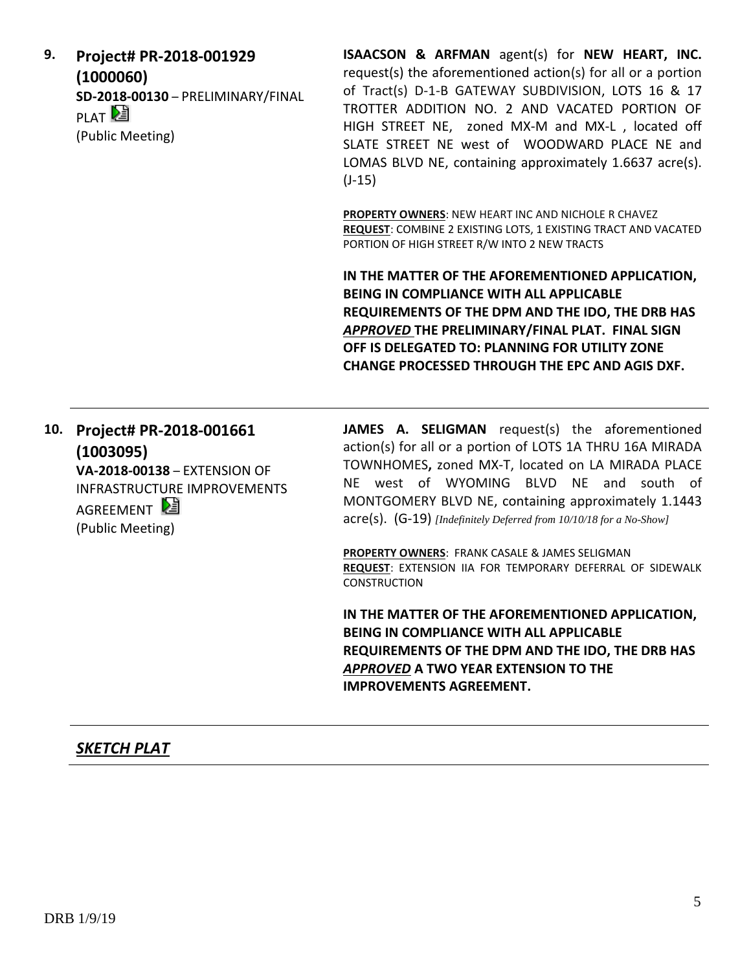**9. Project# PR-2018-001929 (1000060) SD-2018-00130** – PRELIMINARY/FINAL **PLAT** (Public Meeting)

**ISAACSON & ARFMAN** agent(s) for **NEW HEART, INC.** request(s) the aforementioned action(s) for all or a portion of Tract(s) D-1-B GATEWAY SUBDIVISION, LOTS 16 & 17 TROTTER ADDITION NO. 2 AND VACATED PORTION OF HIGH STREET NE, zoned MX-M and MX-L , located off SLATE STREET NE west of WOODWARD PLACE NE and LOMAS BLVD NE, containing approximately 1.6637 acre(s).  $(J-15)$ 

**PROPERTY OWNERS**: NEW HEART INC AND NICHOLE R CHAVEZ **REQUEST**: COMBINE 2 EXISTING LOTS, 1 EXISTING TRACT AND VACATED PORTION OF HIGH STREET R/W INTO 2 NEW TRACTS

**IN THE MATTER OF THE AFOREMENTIONED APPLICATION, BEING IN COMPLIANCE WITH ALL APPLICABLE REQUIREMENTS OF THE DPM AND THE IDO, THE DRB HAS**  *APPROVED* **THE PRELIMINARY/FINAL PLAT. FINAL SIGN OFF IS DELEGATED TO: PLANNING FOR UTILITY ZONE CHANGE PROCESSED THROUGH THE EPC AND AGIS DXF.**

**10. Project# PR-2018-001661 (1003095) VA-2018-00138** – EXTENSION OF INFRASTRUCTURE IMPROVEMENTS AGRFFMFNT<sup>2</sup> (Public Meeting)

**JAMES A. SELIGMAN** request(s) the aforementioned action(s) for all or a portion of LOTS 1A THRU 16A MIRADA TOWNHOMES**,** zoned MX-T, located on LA MIRADA PLACE NE west of WYOMING BLVD NE and south of MONTGOMERY BLVD NE, containing approximately 1.1443 acre(s). (G-19) *[Indefinitely Deferred from 10/10/18 for a No-Show]*

**PROPERTY OWNERS**: FRANK CASALE & JAMES SELIGMAN **REQUEST**: EXTENSION IIA FOR TEMPORARY DEFERRAL OF SIDEWALK **CONSTRUCTION** 

**IN THE MATTER OF THE AFOREMENTIONED APPLICATION, BEING IN COMPLIANCE WITH ALL APPLICABLE REQUIREMENTS OF THE DPM AND THE IDO, THE DRB HAS**  *APPROVED* **A TWO YEAR EXTENSION TO THE IMPROVEMENTS AGREEMENT.**

## *SKETCH PLAT*